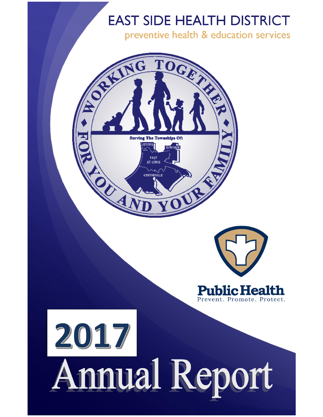preventive health & education services

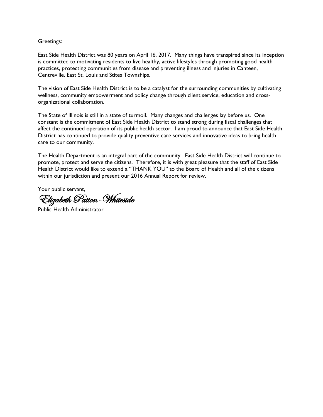#### Greetings:

East Side Health District was 80 years on April 16, 2017. Many things have transpired since its inception is committed to motivating residents to live healthy, active lifestyles through promoting good health practices, protecting communities from disease and preventing illness and injuries in Canteen, Centreville, East St. Louis and Stites Townships.

The vision of East Side Health District is to be a catalyst for the surrounding communities by cultivating wellness, community empowerment and policy change through client service, education and crossorganizational collaboration.

The State of Illinois is still in a state of turmoil. Many changes and challenges lay before us. One constant is the commitment of East Side Health District to stand strong during fiscal challenges that affect the continued operation of its public health sector. I am proud to announce that East Side Health District has continued to provide quality preventive care services and innovative ideas to bring health care to our community.

The Health Department is an integral part of the community. East Side Health District will continue to promote, protect and serve the citizens. Therefore, it is with great pleasure that the staff of East Side Health District would like to extend a "THANK YOU" to the Board of Health and all of the citizens within our jurisdiction and present our 2016 Annual Report for review.

Your public servant,

Elizabeth Patton-Whiteside

Public Health Administrator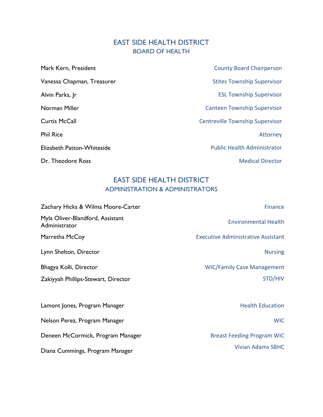# EAST SIDE HEALTH DISTRICT BOARD OF HEALTH

| Mark Kern, President       | <b>County Board Chairperson</b>        |
|----------------------------|----------------------------------------|
| Vanessa Chapman, Treasurer | <b>Stites Township Supervisor</b>      |
| Alvin Parks, Jr            | <b>ESL Township Supervisor</b>         |
| Norman Miller              | <b>Canteen Township Supervisor</b>     |
| <b>Curtis McCall</b>       | <b>Centreville Township Supervisor</b> |
| <b>Phil Rice</b>           | Attorney                               |
| Elizabeth Patton-Whiteside | <b>Public Health Administrator</b>     |
| Dr. Theodore Ross          | <b>Medical Director</b>                |

# EAST SIDE HEALTH DISTRICT ADMINISTRATION & ADMINISTRATORS

| Zachary Hicks & Wilma Moore-Carter                | Finance                                   |
|---------------------------------------------------|-------------------------------------------|
| Myla Oliver-Blandford, Assistant<br>Administrator | <b>Environmental Health</b>               |
| Marretha McCoy                                    | <b>Executive Administrative Assistant</b> |
| Lynn Shelton, Director                            | <b>Nursing</b>                            |
| Bhagya Kolli, Director                            | <b>WIC/Family Case Management</b>         |
| Zakiyyah Phillips-Stewart, Director               | STD/HIV                                   |
|                                                   |                                           |
| Lamont Jones, Program Manager                     | <b>Health Education</b>                   |
| Nelson Perez, Program Manager                     | <b>WIC</b>                                |
| Deneen McCormick, Program Manager                 | <b>Breast Feeding Program WIC</b>         |
| Diana Cummings, Program Manager                   | <b>Vivian Adams SBHC</b>                  |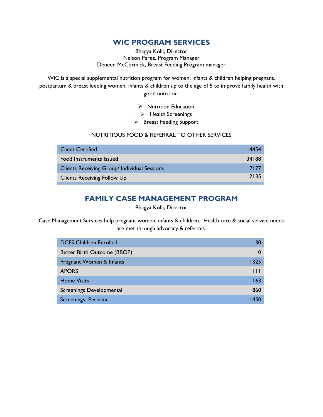## **WIC PROGRAM SERVICES**

Bhagya Kolli, Director Nelson Perez, Program Manager Deneen McCormick, Breast Feeding Program manager

WIC is a special supplemental nutrition program for women, infants & children helping pregnant, postpartum & breast feeding women, infants & children up to the age of 5 to improve family health with good nutrition:

➢ Nutrition Education

➢ Health Screenings

➢ Breast Feeding Support

#### NUTRITIOUS FOOD & REFERRAL TO OTHER SERVICES

| <b>Client Certified</b>                      | 4454  |
|----------------------------------------------|-------|
| Food Instruments Issued                      | 34188 |
| Clients Receiving Group/ Individual Sessions | 7177  |
| <b>Clients Receiving Follow Up</b>           | 2135  |

# **FAMILY CASE MANAGEMENT PROGRAM**

#### Bhagya Kolli, Director

Case Management Services help pregnant women, infants & children. Health care & social service needs are met through advocacy & referrals.

| <b>DCFS Children Enrolled</b> | 30           |
|-------------------------------|--------------|
| Better Birth Outcome (BBOP)   | 0            |
| Pregnant Women & Infants      | 1325         |
| <b>APORS</b>                  | $\mathbf{H}$ |
| <b>Home Visits</b>            | 163          |
| Screenings Developmental      | 860          |
| <b>Screenings Perinatal</b>   | 1450         |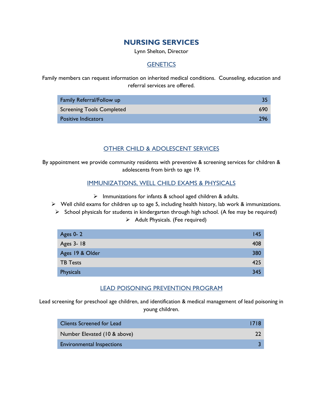# **NURSING SERVICES**

Lynn Shelton, Director

#### **GENETICS**

Family members can request information on inherited medical conditions. Counseling, education and referral services are offered.

| Family Referral/Follow up  |     |
|----------------------------|-----|
| Screening Tools Completed  | 690 |
| <b>Positive Indicators</b> | 796 |

#### OTHER CHILD & ADOLESCENT SERVICES

By appointment we provide community residents with preventive & screening services for children & adolescents from birth to age 19.

#### IMMUNIZATIONS, WELL CHILD EXAMS & PHYSICALS

- ➢ Immunizations for infants & school aged children & adults.
- ➢ Well child exams for children up to age 5, including health history, lab work & immunizations.
	- $\triangleright$  School physicals for students in kindergarten through high school. (A fee may be required) ➢ Adult Physicals. (Fee required)

| Ages 0-2        | 145 |
|-----------------|-----|
| Ages 3-18       | 408 |
| Ages 19 & Older | 380 |
| <b>TB Tests</b> | 425 |
| Physicals       | 345 |

#### LEAD POISONING PREVENTION PROGRAM

Lead screening for preschool age children, and identification & medical management of lead poisoning in young children.

| Clients Screened for Lead        | -1718 |
|----------------------------------|-------|
| Number Elevated (10 & above)     |       |
| <b>Environmental Inspections</b> |       |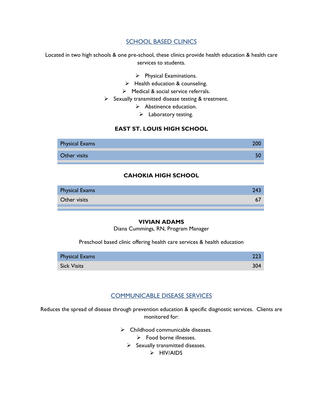#### **SCHOOL BASED CLINICS**

Located in two high schools & one pre-school, these clinics provide health education & health care services to students.

- ➢ Physical Examinations.
- ➢ Health education & counseling.
- ➢ Medical & social service referrals.
- ➢ Sexually transmitted disease testing & treatment.
	- ➢ Abstinence education.
		- $\triangleright$  Laboratory testing.

#### **EAST ST. LOUIS HIGH SCHOOL**



#### **CAHOKIA HIGH SCHOOL**

| <b>Physical Exams</b> |  |
|-----------------------|--|
| Other visits          |  |
|                       |  |

#### **VIVIAN ADAMS**

Diana Cummings, RN, Program Manager

Preschool based clinic offering health care services & health education

| <b>Physical Exams</b> |     |
|-----------------------|-----|
| <b>Sick Visits</b>    | 304 |

#### COMMUNICABLE DISEASE SERVICES

Reduces the spread of disease through prevention education & specific diagnostic services. Clients are monitored for:

- $\triangleright$  Childhood communicable diseases.
	- ➢ Food borne illnesses.
	- $\triangleright$  Sexually transmitted diseases.

➢ HIV/AIDS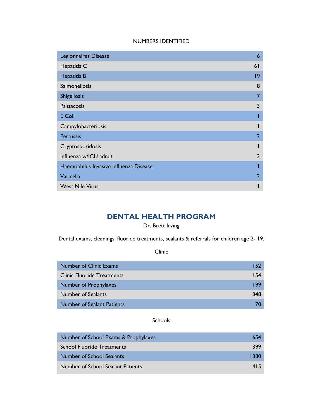#### NUMBERS IDENTIFIED

| Legionnaires Disease                   | 6              |
|----------------------------------------|----------------|
| Hepatitis C                            | 6 <sup>1</sup> |
| <b>Hepatitis B</b>                     | 9              |
| Salmonellosis                          | 8              |
| <b>Shigellosis</b>                     | 7              |
| Psittacosis                            | 3              |
| E Coli                                 |                |
| Campylobacteriosis                     |                |
| <b>Pertussis</b>                       | $\overline{2}$ |
| Cryptosporidosis                       |                |
| Influenza w/ICU admit                  | 3              |
| Haemophilus Invasive Influenza Disease |                |
| Varicella                              | 2              |
| <b>West Nile Virus</b>                 |                |

# **DENTAL HEALTH PROGRAM**

#### Dr. Brett Irving

Dental exams, cleanings, fluoride treatments, sealants & referrals for children age 2- 19.

Clinic

| <b>Number of Clinic Exams</b>     | 152 |
|-----------------------------------|-----|
| <b>Clinic Fluoride Treatments</b> | 154 |
| Number of Prophylaxes             | 199 |
| Number of Sealants                | 348 |
| <b>Number of Sealant Patients</b> |     |

#### Schools

| Number of School Exams & Prophylaxes     | 654  |
|------------------------------------------|------|
| <b>School Fluoride Treatments</b>        | 399  |
| <b>Number of School Sealants</b>         | 1380 |
| <b>Number of School Sealant Patients</b> | 415  |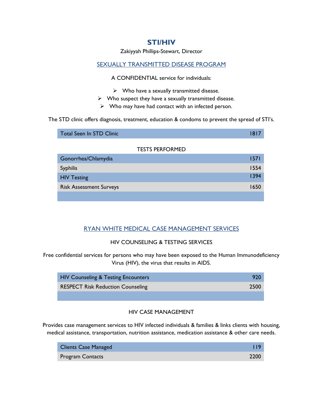### **STI/HIV**

Zakiyyah Phillips-Stewart, Director

#### SEXUALLY TRANSMITTED DISEASE PROGRAM

A CONFIDENTIAL service for individuals:

- $\triangleright$  Who have a sexually transmitted disease.
- ➢ Who suspect they have a sexually transmitted disease.
- $\triangleright$  Who may have had contact with an infected person.

The STD clinic offers diagnosis, treatment, education & condoms to prevent the spread of STI's.

| Total Seen In STD Clinic |                        | 18 L |
|--------------------------|------------------------|------|
|                          | <b>TESTS PERFORMED</b> |      |

| Gonorrhea/Chlamydia            | 1571 |
|--------------------------------|------|
| <b>Syphilis</b>                | 1554 |
| <b>HIV Testing</b>             | 1394 |
| <b>Risk Assessment Surveys</b> | 1650 |
|                                |      |

### RYAN WHITE MEDICAL CASE MANAGEMENT SERVICES

#### HIV COUNSELING & TESTING SERVICES

Free confidential services for persons who may have been exposed to the Human Immunodeficiency Virus (HIV), the virus that results in AIDS.

| <b>HIV Counseling &amp; Testing Encounters</b> | 920  |
|------------------------------------------------|------|
| <b>RESPECT Risk Reduction Counseling</b>       | 2500 |
|                                                |      |

#### HIV CASE MANAGEMENT

Provides case management services to HIV infected individuals & families & links clients with housing, medical assistance, transportation, nutrition assistance, medication assistance & other care needs.

| <b>Clients Case Managed</b> |      |
|-----------------------------|------|
| <b>Program Contacts</b>     | 2200 |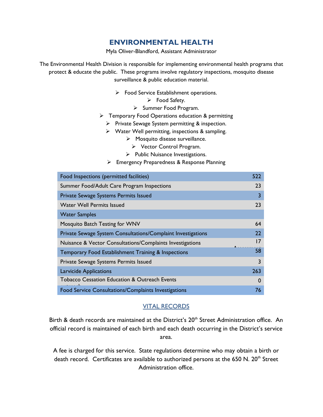# **ENVIRONMENTAL HEALTH**

Myla Oliver-Blandford, Assistant Administrator

The Environmental Health Division is responsible for implementing environmental health programs that protect & educate the public. These programs involve regulatory inspections, mosquito disease surveillance & public education material.

- ➢ Food Service Establishment operations.
	- ➢ Food Safety.
	- ➢ Summer Food Program.
- ➢ Temporary Food Operations education & permitting
	- ➢ Private Sewage System permitting & inspection.
	- ➢ Water Well permitting, inspections & sampling.
		- ➢ Mosquito disease surveillance.
			- ➢ Vector Control Program.
		- ➢ Public Nuisance Investigations.
	- ➢ Emergency Preparedness & Response Planning

| Food Inspections (permitted facilities)                      | 522      |
|--------------------------------------------------------------|----------|
| Summer Food/Adult Care Program Inspections                   | 23       |
| Private Sewage Systems Permits Issued                        | 3        |
| <b>Water Well Permits Issued</b>                             | 23       |
| <b>Water Samples</b>                                         |          |
| Mosquito Batch Testing for WNV                               | 64       |
| Private Sewage System Consultations/Complaint Investigations | 22       |
| Nuisance & Vector Consultations/Complaints Investigations    | 17       |
| Temporary Food Establishment Training & Inspections          | 58       |
| Private Sewage Systems Permits Issued                        | 3        |
| <b>Larvicide Applications</b>                                | 263      |
| <b>Tobacco Cessation Education &amp; Outreach Events</b>     | $\Omega$ |
| Food Service Consultations/Complaints Investigations         | 76       |

### VITAL RECORDS

Birth & death records are maintained at the District's 20<sup>th</sup> Street Administration office. An official record is maintained of each birth and each death occurring in the District's service area.

& A fee is charged for this service. State regulations determine who may obtain a birth or death record. Certificates are available to authorized persons at the 650 N. 20<sup>th</sup> Street Administration office.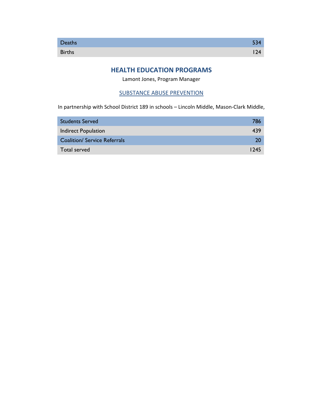### **HEALTH EDUCATION PROGRAMS**

Lamont Jones, Program Manager

#### SUBSTANCE ABUSE PREVENTION

In partnership with School District 189 in schools – Lincoln Middle, Mason-Clark Middle,

| <b>Students Served</b>              | 786  |
|-------------------------------------|------|
| <b>Indirect Population</b>          | 439  |
| <b>Coalition/ Service Referrals</b> | 20   |
| Total served                        | 1245 |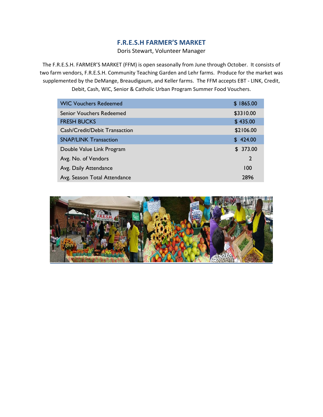### **F.R.E.S.H FARMER'S MARKET**

Doris Stewart, Volunteer Manager

The F.R.E.S.H. FARMER'S MARKET (FFM) is open seasonally from June through October. It consists of two farm vendors, F.R.E.S.H. Community Teaching Garden and Lehr farms. Produce for the market was supplemented by the DeMange, Breaudigaum, and Keller farms. The FFM accepts EBT - LINK, Credit, Debit, Cash, WIC, Senior & Catholic Urban Program Summer Food Vouchers.

| <b>WIC Vouchers Redeemed</b>    | \$1865.00      |
|---------------------------------|----------------|
| <b>Senior Vouchers Redeemed</b> | \$3310.00      |
| <b>FRESH BUCKS</b>              | \$435.00       |
| Cash/Credit/Debit Transaction   | \$2106.00      |
| <b>SNAP/LINK Transaction</b>    | \$424.00       |
| Double Value Link Program       | \$373.00       |
| Avg. No. of Vendors             | $\overline{2}$ |
| Avg. Daily Attendance           | 100            |
| Avg. Season Total Attendance    | 2896           |

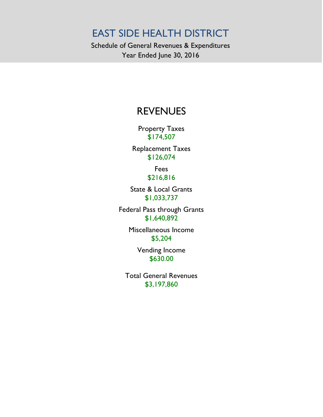Schedule of General Revenues & Expenditures Year Ended June 30, 2016

# REVENUES

Property Taxes \$174,507

Replacement Taxes \$126,074

> Fees \$216,816

State & Local Grants \$1,033,737

Federal Pass through Grants \$1,640,892

> Miscellaneous Income \$5,204

> > Vending Income \$630.00

Total General Revenues \$3,197,860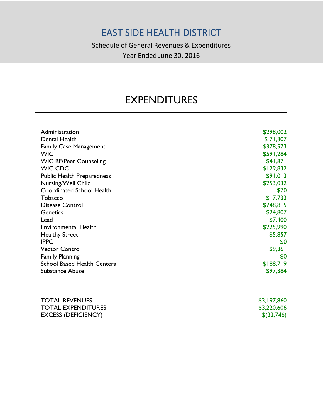Schedule of General Revenues & Expenditures Year Ended June 30, 2016

# EXPENDITURES

| Administration                     | \$298,002   |
|------------------------------------|-------------|
| <b>Dental Health</b>               | \$71,307    |
| <b>Family Case Management</b>      | \$378,573   |
| <b>WIC</b>                         | \$591,284   |
| <b>WIC BF/Peer Counseling</b>      | \$41,871    |
| <b>WIC CDC</b>                     | \$129,832   |
| <b>Public Health Preparedness</b>  | \$91,013    |
| Nursing/Well Child                 | \$253,032   |
| <b>Coordinated School Health</b>   | \$70        |
| Tobacco                            | \$17,733    |
| <b>Disease Control</b>             | \$748,815   |
| Genetics                           | \$24,807    |
| Lead                               | \$7,400     |
| <b>Environmental Health</b>        | \$225,990   |
| <b>Healthy Street</b>              | \$5,857     |
| <b>IPPC</b>                        | \$0         |
| <b>Vector Control</b>              | \$9,361     |
| <b>Family Planning</b>             | \$0         |
| <b>School Based Health Centers</b> | \$188,719   |
| <b>Substance Abuse</b>             | \$97,384    |
|                                    |             |
| <b>TOTAL REVENUES</b>              | \$3,197,860 |
| <b>TOTAL EXPENDITURES</b>          | \$3,220,606 |
| <b>EXCESS (DEFICIENCY)</b>         | \$(22,746)  |